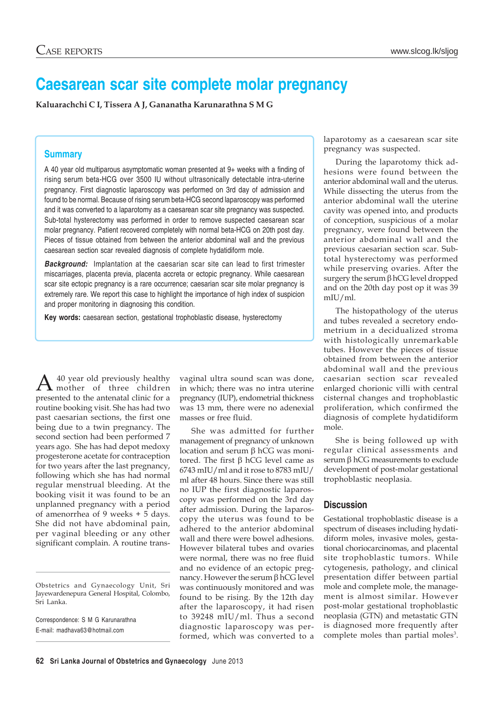## **Caesarean scar site complete molar pregnancy**

**Kaluarachchi C I, Tissera A J, Gananatha Karunarathna S M G**

## **Summary**

A 40 year old multiparous asymptomatic woman presented at 9+ weeks with a finding of rising serum beta-HCG over 3500 IU without ultrasonically detectable intra-uterine pregnancy. First diagnostic laparoscopy was performed on 3rd day of admission and found to be normal. Because of rising serum beta-HCG second laparoscopy was performed and it was converted to a laparotomy as a caesarean scar site pregnancy was suspected. Sub-total hysterectomy was performed in order to remove suspected caesarean scar molar pregnancy. Patient recovered completely with normal beta-HCG on 20th post day. Pieces of tissue obtained from between the anterior abdominal wall and the previous caesarean section scar revealed diagnosis of complete hydatidiform mole.

*Background:* Implantation at the caesarian scar site can lead to first trimester miscarriages, placenta previa, placenta accreta or ectopic pregnancy. While caesarean scar site ectopic pregnancy is a rare occurrence; caesarian scar site molar pregnancy is extremely rare. We report this case to highlight the importance of high index of suspicion and proper monitoring in diagnosing this condition.

**Key words:** caesarean section, gestational trophoblastic disease, hysterectomy

 $A<sup>40</sup>$  year old previously healthy<br>mother of three children presented to the antenatal clinic for a routine booking visit. She has had two past caesarian sections, the first one being due to a twin pregnancy. The second section had been performed 7 years ago. She has had depot medoxy progesterone acetate for contraception for two years after the last pregnancy, following which she has had normal regular menstrual bleeding. At the booking visit it was found to be an unplanned pregnancy with a period of amenorrhea of 9 weeks + 5 days. She did not have abdominal pain, per vaginal bleeding or any other significant complain. A routine trans-

Obstetrics and Gynaecology Unit, Sri Jayewardenepura General Hospital, Colombo, Sri Lanka.

Correspondence: S M G Karunarathna E-mail: madhava63@hotmail.com

vaginal ultra sound scan was done, in which; there was no intra uterine pregnancy (IUP), endometrial thickness was 13 mm, there were no adenexial masses or free fluid.

She was admitted for further management of pregnancy of unknown location and serum β hCG was monitored. The first β hCG level came as 6743 mIU/ml and it rose to 8783 mIU/ ml after 48 hours. Since there was still no IUP the first diagnostic laparoscopy was performed on the 3rd day after admission. During the laparoscopy the uterus was found to be adhered to the anterior abdominal wall and there were bowel adhesions. However bilateral tubes and ovaries were normal, there was no free fluid and no evidence of an ectopic pregnancy. However the serum β hCG level was continuously monitored and was found to be rising. By the 12th day after the laparoscopy, it had risen to 39248 mIU/ml. Thus a second diagnostic laparoscopy was performed, which was converted to a laparotomy as a caesarean scar site pregnancy was suspected.

During the laparotomy thick adhesions were found between the anterior abdominal wall and the uterus. While dissecting the uterus from the anterior abdominal wall the uterine cavity was opened into, and products of conception, suspicious of a molar pregnancy, were found between the anterior abdominal wall and the previous caesarian section scar. Subtotal hysterectomy was performed while preserving ovaries. After the surgery the serum β hCG level dropped and on the 20th day post op it was 39 mIU/ml.

The histopathology of the uterus and tubes revealed a secretory endometrium in a decidualized stroma with histologically unremarkable tubes. However the pieces of tissue obtained from between the anterior abdominal wall and the previous caesarian section scar revealed enlarged chorionic villi with central cisternal changes and trophoblastic proliferation, which confirmed the diagnosis of complete hydatidiform mole.

She is being followed up with regular clinical assessments and serum β hCG measurements to exclude development of post-molar gestational trophoblastic neoplasia.

## **Discussion**

Gestational trophoblastic disease is a spectrum of diseases including hydatidiform moles, invasive moles, gestational choriocarcinomas, and placental site trophoblastic tumors. While cytogenesis, pathology, and clinical presentation differ between partial mole and complete mole, the management is almost similar. However post-molar gestational trophoblastic neoplasia (GTN) and metastatic GTN is diagnosed more frequently after complete moles than partial moles<sup>3</sup>.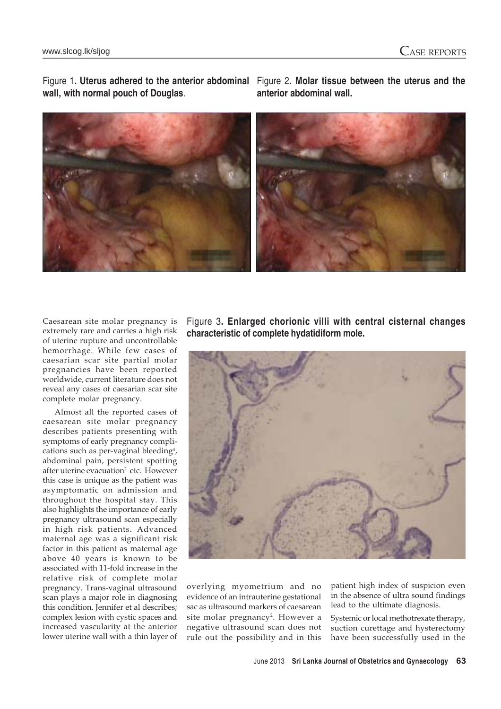**wall, with normal pouch of Douglas**.

Figure 1**. Uterus adhered to the anterior abdominal** Figure 2**. Molar tissue between the uterus and the anterior abdominal wall.**



Caesarean site molar pregnancy is extremely rare and carries a high risk of uterine rupture and uncontrollable hemorrhage. While few cases of caesarian scar site partial molar pregnancies have been reported worldwide, current literature does not reveal any cases of caesarian scar site complete molar pregnancy.

Almost all the reported cases of caesarean site molar pregnancy describes patients presenting with symptoms of early pregnancy complications such as per-vaginal bleeding<sup>4</sup>, abdominal pain, persistent spotting after uterine evacuation<sup>2</sup> etc. However this case is unique as the patient was asymptomatic on admission and throughout the hospital stay. This also highlights the importance of early pregnancy ultrasound scan especially in high risk patients. Advanced maternal age was a significant risk factor in this patient as maternal age above 40 years is known to be associated with 11-fold increase in the relative risk of complete molar pregnancy. Trans-vaginal ultrasound scan plays a major role in diagnosing this condition. Jennifer et al describes; complex lesion with cystic spaces and increased vascularity at the anterior lower uterine wall with a thin layer of Figure 3**. Enlarged chorionic villi with central cisternal changes characteristic of complete hydatidiform mole.**



overlying myometrium and no evidence of an intrauterine gestational sac as ultrasound markers of caesarean site molar pregnancy<sup>2</sup>. However a negative ultrasound scan does not rule out the possibility and in this

patient high index of suspicion even in the absence of ultra sound findings lead to the ultimate diagnosis.

Systemic or local methotrexate therapy, suction curettage and hysterectomy have been successfully used in the